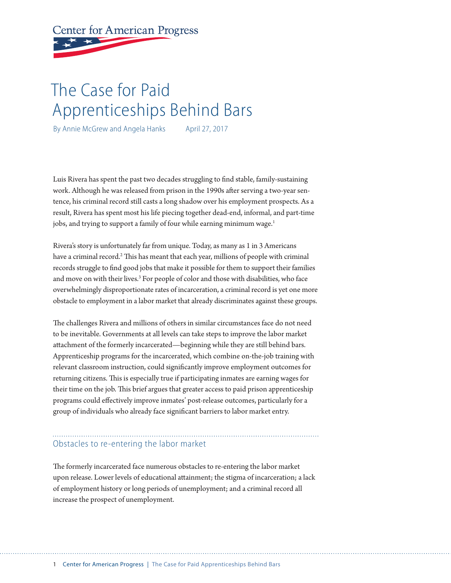**Center for American Progress** 

# The Case for Paid Apprenticeships Behind Bars

By Annie McGrew and Angela Hanks April 27, 2017

Luis Rivera has spent the past two decades struggling to find stable, family-sustaining work. Although he was released from prison in the 1990s after serving a two-year sentence, his criminal record still casts a long shadow over his employment prospects. As a result, Rivera has spent most his life piecing together dead-end, informal, and part-time jobs, and trying to support a family of four while earning minimum wage.<sup>1</sup>

Rivera's story is unfortunately far from unique. Today, as many as 1 in 3 Americans have a criminal record.<sup>2</sup> This has meant that each year, millions of people with criminal records struggle to find good jobs that make it possible for them to support their families and move on with their lives.<sup>3</sup> For people of color and those with disabilities, who face overwhelmingly disproportionate rates of incarceration, a criminal record is yet one more obstacle to employment in a labor market that already discriminates against these groups.

The challenges Rivera and millions of others in similar circumstances face do not need to be inevitable. Governments at all levels can take steps to improve the labor market attachment of the formerly incarcerated—beginning while they are still behind bars. Apprenticeship programs for the incarcerated, which combine on-the-job training with relevant classroom instruction, could significantly improve employment outcomes for returning citizens. This is especially true if participating inmates are earning wages for their time on the job. This brief argues that greater access to paid prison apprenticeship programs could effectively improve inmates' post-release outcomes, particularly for a group of individuals who already face significant barriers to labor market entry.

# Obstacles to re-entering the labor market

The formerly incarcerated face numerous obstacles to re-entering the labor market upon release. Lower levels of educational attainment; the stigma of incarceration; a lack of employment history or long periods of unemployment; and a criminal record all increase the prospect of unemployment.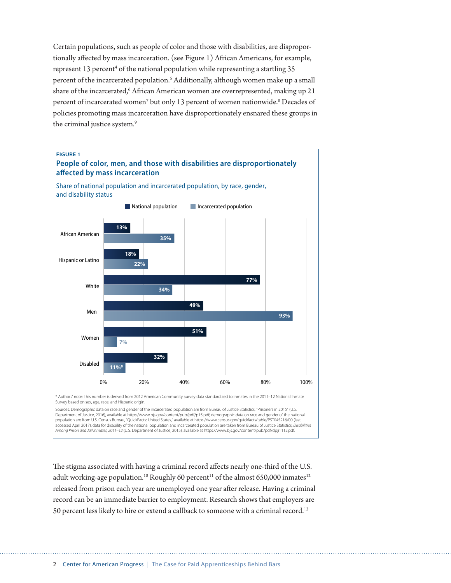Certain populations, such as people of color and those with disabilities, are disproportionally affected by mass incarceration. (see Figure 1) African Americans, for example, represent 13 percent<sup>4</sup> of the national population while representing a startling 35 percent of the incarcerated population.<sup>5</sup> Additionally, although women make up a small share of the incarcerated,<sup>6</sup> African American women are overrepresented, making up 21 percent of incarcerated women<sup>7</sup> but only 13 percent of women nationwide.<sup>8</sup> Decades of policies promoting mass incarceration have disproportionately ensnared these groups in the criminal justice system.<sup>9</sup>



The stigma associated with having a criminal record affects nearly one-third of the U.S. adult working-age population.<sup>10</sup> Roughly 60 percent<sup>11</sup> of the almost 650,000 inmates<sup>12</sup> released from prison each year are unemployed one year after release. Having a criminal record can be an immediate barrier to employment. Research shows that employers are 50 percent less likely to hire or extend a callback to someone with a criminal record.<sup>13</sup>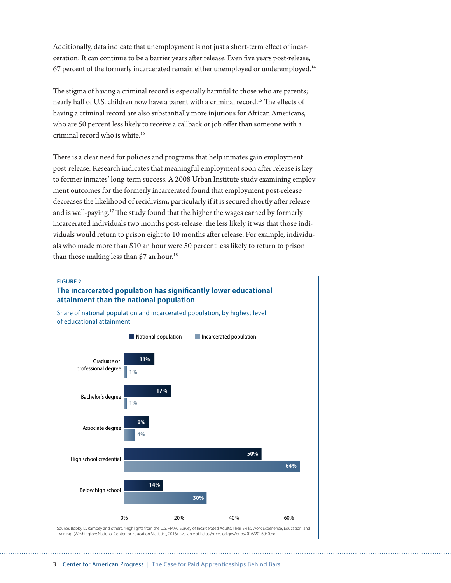Additionally, data indicate that unemployment is not just a short-term effect of incarceration: It can continue to be a barrier years after release. Even five years post-release, 67 percent of the formerly incarcerated remain either unemployed or underemployed.14

The stigma of having a criminal record is especially harmful to those who are parents; nearly half of U.S. children now have a parent with a criminal record.15 The effects of having a criminal record are also substantially more injurious for African Americans, who are 50 percent less likely to receive a callback or job offer than someone with a criminal record who is white.16

There is a clear need for policies and programs that help inmates gain employment post-release. Research indicates that meaningful employment soon after release is key to former inmates' long-term success. A 2008 Urban Institute study examining employment outcomes for the formerly incarcerated found that employment post-release decreases the likelihood of recidivism, particularly if it is secured shortly after release and is well-paying.17 The study found that the higher the wages earned by formerly incarcerated individuals two months post-release, the less likely it was that those individuals would return to prison eight to 10 months after release. For example, individuals who made more than \$10 an hour were 50 percent less likely to return to prison than those making less than \$7 an hour.<sup>18</sup>

#### **FIGURE 2**

## **The incarcerated population has significantly lower educational attainment than the national population**

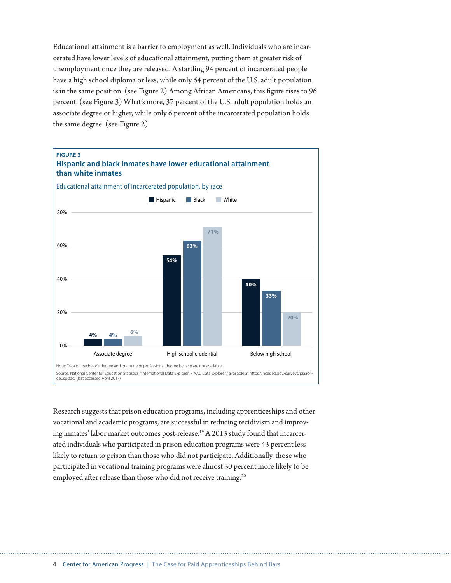Educational attainment is a barrier to employment as well. Individuals who are incarcerated have lower levels of educational attainment, putting them at greater risk of unemployment once they are released. A startling 94 percent of incarcerated people have a high school diploma or less, while only 64 percent of the U.S. adult population is in the same position. (see Figure 2) Among African Americans, this figure rises to 96 percent. (see Figure 3) What's more, 37 percent of the U.S. adult population holds an associate degree or higher, while only 6 percent of the incarcerated population holds the same degree. (see Figure 2)



Research suggests that prison education programs, including apprenticeships and other vocational and academic programs, are successful in reducing recidivism and improving inmates' labor market outcomes post-release.<sup>19</sup> A 2013 study found that incarcerated individuals who participated in prison education programs were 43 percent less likely to return to prison than those who did not participate. Additionally, those who participated in vocational training programs were almost 30 percent more likely to be employed after release than those who did not receive training.<sup>20</sup>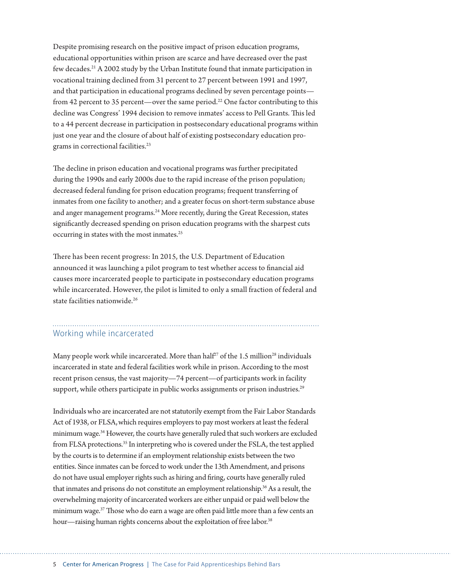Despite promising research on the positive impact of prison education programs, educational opportunities within prison are scarce and have decreased over the past few decades.21 A 2002 study by the Urban Institute found that inmate participation in vocational training declined from 31 percent to 27 percent between 1991 and 1997, and that participation in educational programs declined by seven percentage points from 42 percent to 35 percent—over the same period.<sup>22</sup> One factor contributing to this decline was Congress' 1994 decision to remove inmates' access to Pell Grants. This led to a 44 percent decrease in participation in postsecondary educational programs within just one year and the closure of about half of existing postsecondary education programs in correctional facilities.<sup>23</sup>

The decline in prison education and vocational programs was further precipitated during the 1990s and early 2000s due to the rapid increase of the prison population; decreased federal funding for prison education programs; frequent transferring of inmates from one facility to another; and a greater focus on short-term substance abuse and anger management programs.<sup>24</sup> More recently, during the Great Recession, states significantly decreased spending on prison education programs with the sharpest cuts occurring in states with the most inmates.<sup>25</sup>

There has been recent progress: In 2015, the U.S. Department of Education announced it was launching a pilot program to test whether access to financial aid causes more incarcerated people to participate in postsecondary education programs while incarcerated. However, the pilot is limited to only a small fraction of federal and state facilities nationwide.<sup>26</sup>

# Working while incarcerated

Many people work while incarcerated. More than half<sup>27</sup> of the 1.5 million<sup>28</sup> individuals incarcerated in state and federal facilities work while in prison. According to the most recent prison census, the vast majority—74 percent—of participants work in facility support, while others participate in public works assignments or prison industries.<sup>29</sup>

Individuals who are incarcerated are not statutorily exempt from the Fair Labor Standards Act of 1938, or FLSA,which requires employers to pay most workers at least the federal minimum wage.34 However, the courts have generally ruled that such workers are excluded from FLSA protections.<sup>35</sup> In interpreting who is covered under the FSLA, the test applied by the courts is to determine if an employment relationship exists between the two entities. Since inmates can be forced to work under the 13th Amendment, and prisons do not have usual employer rights such as hiring and firing, courts have generally ruled that inmates and prisons do not constitute an employment relationship.36 As a result, the overwhelming majority of incarcerated workers are either unpaid or paid well below the minimum wage.<sup>37</sup> Those who do earn a wage are often paid little more than a few cents an hour—raising human rights concerns about the exploitation of free labor.<sup>38</sup>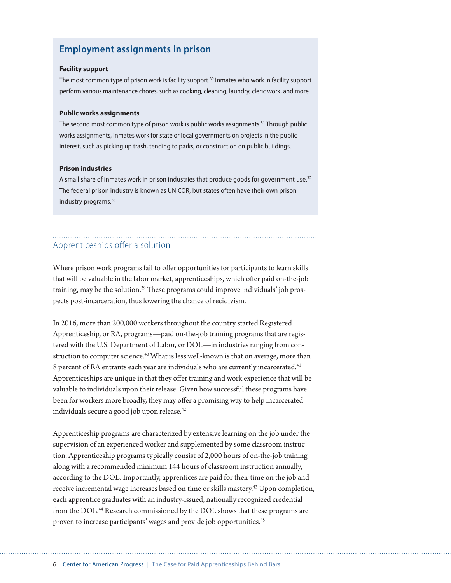# **Employment assignments in prison**

#### **Facility support**

The most common type of prison work is facility support.<sup>30</sup> Inmates who work in facility support perform various maintenance chores, such as cooking, cleaning, laundry, cleric work, and more.

#### **Public works assignments**

The second most common type of prison work is public works assignments.<sup>31</sup> Through public works assignments, inmates work for state or local governments on projects in the public interest, such as picking up trash, tending to parks, or construction on public buildings.

#### **Prison industries**

A small share of inmates work in prison industries that produce goods for government use.<sup>32</sup> The federal prison industry is known as UNICOR, but states often have their own prison industry programs.<sup>33</sup>

# Apprenticeships offer a solution

Where prison work programs fail to offer opportunities for participants to learn skills that will be valuable in the labor market, apprenticeships, which offer paid on-the-job training, may be the solution.<sup>39</sup> These programs could improve individuals' job prospects post-incarceration, thus lowering the chance of recidivism.

In 2016, more than 200,000 workers throughout the country started Registered Apprenticeship, or RA, programs—paid on-the-job training programs that are registered with the U.S. Department of Labor, or DOL—in industries ranging from construction to computer science.<sup>40</sup> What is less well-known is that on average, more than 8 percent of RA entrants each year are individuals who are currently incarcerated.<sup>41</sup> Apprenticeships are unique in that they offer training and work experience that will be valuable to individuals upon their release. Given how successful these programs have been for workers more broadly, they may offer a promising way to help incarcerated individuals secure a good job upon release.<sup>42</sup>

Apprenticeship programs are characterized by extensive learning on the job under the supervision of an experienced worker and supplemented by some classroom instruction. Apprenticeship programs typically consist of 2,000 hours of on-the-job training along with a recommended minimum 144 hours of classroom instruction annually, according to the DOL. Importantly, apprentices are paid for their time on the job and receive incremental wage increases based on time or skills mastery.43 Upon completion, each apprentice graduates with an industry-issued, nationally recognized credential from the DOL.<sup>44</sup> Research commissioned by the DOL shows that these programs are proven to increase participants' wages and provide job opportunities.<sup>45</sup>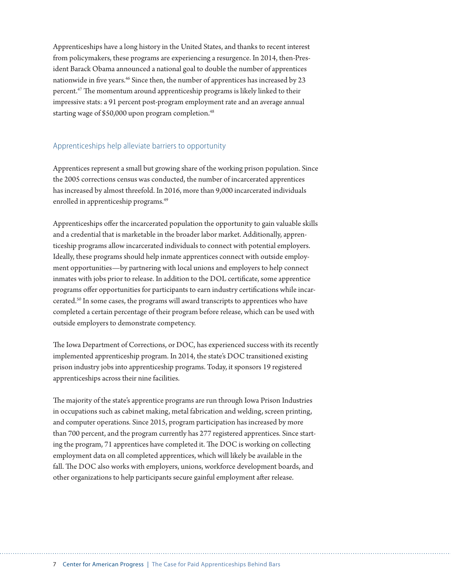Apprenticeships have a long history in the United States, and thanks to recent interest from policymakers, these programs are experiencing a resurgence. In 2014, then-President Barack Obama announced a national goal to double the number of apprentices nationwide in five years.<sup>46</sup> Since then, the number of apprentices has increased by 23 percent.47 The momentum around apprenticeship programs is likely linked to their impressive stats: a 91 percent post-program employment rate and an average annual starting wage of \$50,000 upon program completion.<sup>48</sup>

### Apprenticeships help alleviate barriers to opportunity

Apprentices represent a small but growing share of the working prison population. Since the 2005 corrections census was conducted, the number of incarcerated apprentices has increased by almost threefold. In 2016, more than 9,000 incarcerated individuals enrolled in apprenticeship programs.<sup>49</sup>

Apprenticeships offer the incarcerated population the opportunity to gain valuable skills and a credential that is marketable in the broader labor market. Additionally, apprenticeship programs allow incarcerated individuals to connect with potential employers. Ideally, these programs should help inmate apprentices connect with outside employment opportunities—by partnering with local unions and employers to help connect inmates with jobs prior to release. In addition to the DOL certificate, some apprentice programs offer opportunities for participants to earn industry certifications while incarcerated.50 In some cases, the programs will award transcripts to apprentices who have completed a certain percentage of their program before release, which can be used with outside employers to demonstrate competency.

The Iowa Department of Corrections, or DOC, has experienced success with its recently implemented apprenticeship program. In 2014, the state's DOC transitioned existing prison industry jobs into apprenticeship programs. Today, it sponsors 19 registered apprenticeships across their nine facilities.

The majority of the state's apprentice programs are run through Iowa Prison Industries in occupations such as cabinet making, metal fabrication and welding, screen printing, and computer operations. Since 2015, program participation has increased by more than 700 percent, and the program currently has 277 registered apprentices. Since starting the program, 71 apprentices have completed it. The DOC is working on collecting employment data on all completed apprentices, which will likely be available in the fall. The DOC also works with employers, unions, workforce development boards, and other organizations to help participants secure gainful employment after release.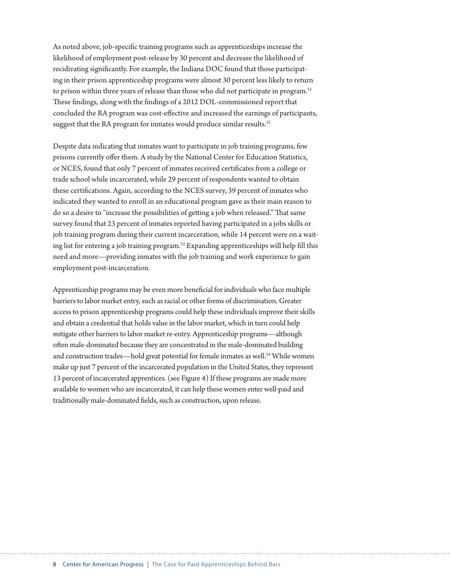As noted above, job-specific training programs such as apprenticeships increase the likelihood of employment post-release by 30 percent and decrease the likelihood of recidivating significantly. For example, the Indiana DOC found that those participating in their prison apprenticeship programs were almost 30 percent less likely to return to prison within three years of release than those who did not participate in program.<sup>51</sup> These findings, along with the findings of a 2012 DOL-commissioned report that concluded the RA program was cost-effective and increased the earnings of participants, suggest that the RA program for inmates would produce similar results. $52$ 

Despite data indicating that inmates want to participate in job training programs, few prisons currently offer them. A study by the National Center for Education Statistics, or NCES, found that only 7 percent of inmates received certificates from a college or trade school while incarcerated, while 29 percent of respondents wanted to obtain these certifications. Again, according to the NCES survey, 39 percent of inmates who indicated they wanted to enroll in an educational program gave as their main reason to do so a desire to "increase the possibilities of getting a job when released." That same survey found that 23 percent of inmates reported having participated in a jobs skills or job training program during their current incarceration, while 14 percent were on a waiting list for entering a job training program.<sup>53</sup> Expanding apprenticeships will help fill this need and more—providing inmates with the job training and work experience to gain employment post-incarceration.

Apprenticeship programs may be even more beneficial for individuals who face multiple barriers to labor market entry, such as racial or other forms of discrimination. Greater access to prison apprenticeship programs could help these individuals improve their skills and obtain a credential that holds value in the labor market, which in turn could help mitigate other barriers to labor market re-entry. Apprenticeship programs—although often male-dominated because they are concentrated in the male-dominated building and construction trades—hold great potential for female inmates as well.<sup>54</sup> While women make up just 7 percent of the incarcerated population in the United States, they represent 13 percent of incarcerated apprentices. (see Figure 4) If these programs are made more available to women who are incarcerated, it can help these women enter well-paid and traditionally male-dominated fields, such as construction, upon release.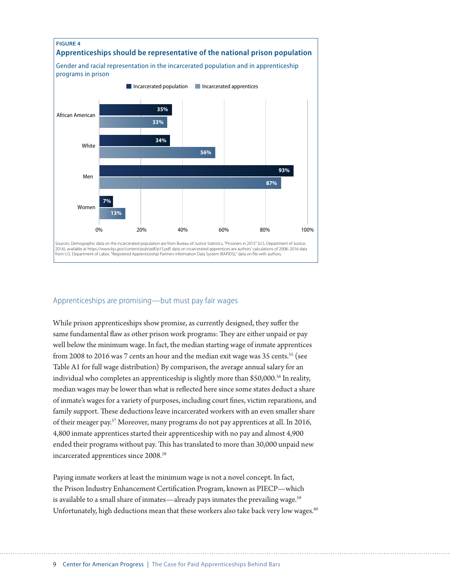

## Apprenticeships are promising—but must pay fair wages

While prison apprenticeships show promise, as currently designed, they suffer the same fundamental flaw as other prison work programs: They are either unpaid or pay well below the minimum wage. In fact, the median starting wage of inmate apprentices from 2008 to 2016 was 7 cents an hour and the median exit wage was 35 cents.<sup>55</sup> (see Table A1 for full wage distribution) By comparison, the average annual salary for an individual who completes an apprenticeship is slightly more than \$50,000.<sup>56</sup> In reality, median wages may be lower than what is reflected here since some states deduct a share of inmate's wages for a variety of purposes, including court fines, victim reparations, and family support. These deductions leave incarcerated workers with an even smaller share of their meager pay.57 Moreover, many programs do not pay apprentices at all. In 2016, 4,800 inmate apprentices started their apprenticeship with no pay and almost 4,900 ended their programs without pay. This has translated to more than 30,000 unpaid new incarcerated apprentices since 2008.<sup>58</sup>

Paying inmate workers at least the minimum wage is not a novel concept. In fact, the Prison Industry Enhancement Certification Program, known as PIECP—which is available to a small share of inmates—already pays inmates the prevailing wage.<sup>59</sup> Unfortunately, high deductions mean that these workers also take back very low wages.<sup>60</sup>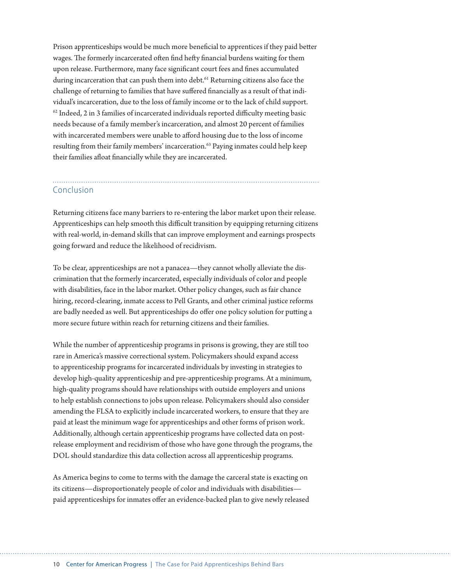Prison apprenticeships would be much more beneficial to apprentices if they paid better wages. The formerly incarcerated often find hefty financial burdens waiting for them upon release. Furthermore, many face significant court fees and fines accumulated during incarceration that can push them into debt.<sup>61</sup> Returning citizens also face the challenge of returning to families that have suffered financially as a result of that individual's incarceration, due to the loss of family income or to the lack of child support.  $62$  Indeed, 2 in 3 families of incarcerated individuals reported difficulty meeting basic needs because of a family member's incarceration, and almost 20 percent of families with incarcerated members were unable to afford housing due to the loss of income resulting from their family members' incarceration.<sup>63</sup> Paying inmates could help keep their families afloat financially while they are incarcerated.

# Conclusion

Returning citizens face many barriers to re-entering the labor market upon their release. Apprenticeships can help smooth this difficult transition by equipping returning citizens with real-world, in-demand skills that can improve employment and earnings prospects going forward and reduce the likelihood of recidivism.

To be clear, apprenticeships are not a panacea—they cannot wholly alleviate the discrimination that the formerly incarcerated, especially individuals of color and people with disabilities, face in the labor market. Other policy changes, such as fair chance hiring, record-clearing, inmate access to Pell Grants, and other criminal justice reforms are badly needed as well. But apprenticeships do offer one policy solution for putting a more secure future within reach for returning citizens and their families.

While the number of apprenticeship programs in prisons is growing, they are still too rare in America's massive correctional system. Policymakers should expand access to apprenticeship programs for incarcerated individuals by investing in strategies to develop high-quality apprenticeship and pre-apprenticeship programs. At a minimum, high-quality programs should have relationships with outside employers and unions to help establish connections to jobs upon release. Policymakers should also consider amending the FLSA to explicitly include incarcerated workers, to ensure that they are paid at least the minimum wage for apprenticeships and other forms of prison work. Additionally, although certain apprenticeship programs have collected data on postrelease employment and recidivism of those who have gone through the programs, the DOL should standardize this data collection across all apprenticeship programs.

As America begins to come to terms with the damage the carceral state is exacting on its citizens—disproportionately people of color and individuals with disabilities paid apprenticeships for inmates offer an evidence-backed plan to give newly released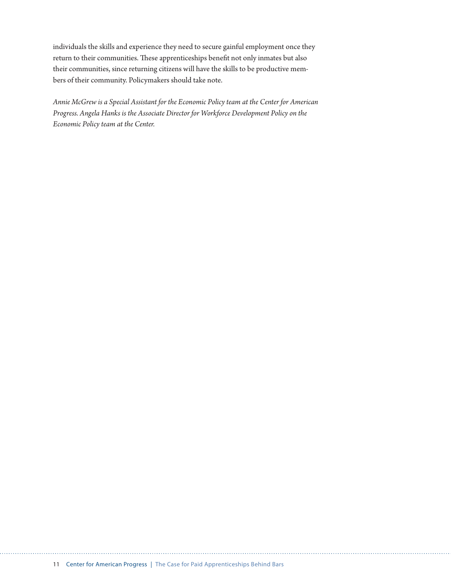individuals the skills and experience they need to secure gainful employment once they return to their communities. These apprenticeships benefit not only inmates but also their communities, since returning citizens will have the skills to be productive members of their community. Policymakers should take note.

*Annie McGrew is a Special Assistant for the Economic Policy team at the Center for American Progress. Angela Hanks is the Associate Director for Workforce Development Policy on the Economic Policy team at the Center.*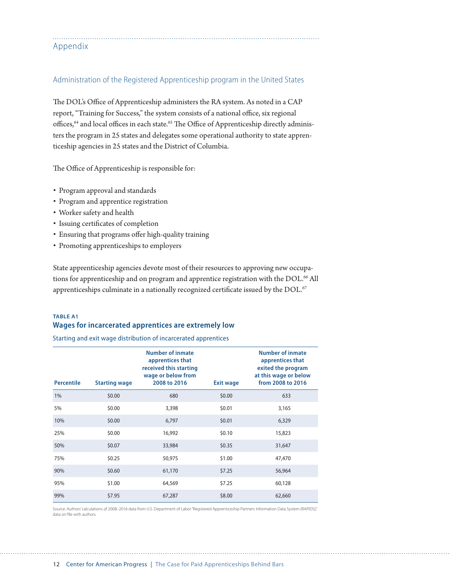| Appendix |  |  |
|----------|--|--|

#### Administration of the Registered Apprenticeship program in the United States

The DOL's Office of Apprenticeship administers the RA system. As noted in a CAP report, "Training for Success," the system consists of a national office, six regional offices,<sup>64</sup> and local offices in each state.<sup>65</sup> The Office of Apprenticeship directly administers the program in 25 states and delegates some operational authority to state apprenticeship agencies in 25 states and the District of Columbia.

The Office of Apprenticeship is responsible for:

- Program approval and standards
- Program and apprentice registration
- Worker safety and health
- Issuing certificates of completion
- Ensuring that programs offer high-quality training
- Promoting apprenticeships to employers

State apprenticeship agencies devote most of their resources to approving new occupations for apprenticeship and on program and apprentice registration with the DOL.<sup>66</sup> All apprenticeships culminate in a nationally recognized certificate issued by the DOL.<sup>67</sup>

## **TABLE A1 Wages for incarcerated apprentices are extremely low**

Starting and exit wage distribution of incarcerated apprentices

| <b>Percentile</b> | <b>Starting wage</b> | <b>Number of inmate</b><br>apprentices that<br>received this starting<br>wage or below from<br>2008 to 2016 | <b>Exit wage</b> | <b>Number of inmate</b><br>apprentices that<br>exited the program<br>at this wage or below<br>from 2008 to 2016 |
|-------------------|----------------------|-------------------------------------------------------------------------------------------------------------|------------------|-----------------------------------------------------------------------------------------------------------------|
| 1%                | \$0.00               | 680                                                                                                         | \$0.00           | 633                                                                                                             |
| 5%                | \$0.00               | 3,398                                                                                                       | \$0.01           | 3,165                                                                                                           |
| 10%               | \$0.00               | 6,797                                                                                                       | \$0.01           | 6,329                                                                                                           |
| 25%               | \$0.00               | 16,992                                                                                                      | \$0.10           | 15,823                                                                                                          |
| 50%               | \$0.07               | 33,984                                                                                                      | \$0.35           | 31,647                                                                                                          |
| 75%               | \$0.25               | 50,975                                                                                                      | \$1.00           | 47,470                                                                                                          |
| 90%               | \$0.60               | 61,170                                                                                                      | \$7.25           | 56,964                                                                                                          |
| 95%               | \$1.00               | 64,569                                                                                                      | \$7.25           | 60,128                                                                                                          |
| 99%               | \$7.95               | 67,287                                                                                                      | \$8.00           | 62,660                                                                                                          |

Source: Authors' calculations of 2008–2016 data from U.S. Department of Labor "Registered Apprenticeship Partners Information Data System (RAPIDS)," data on file with authors.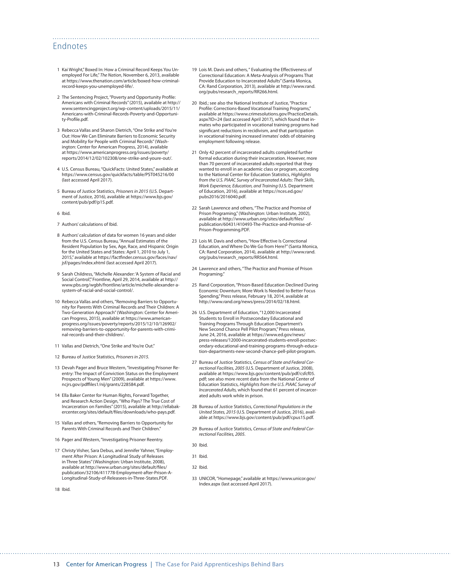## Endnotes

- 1 Kai Wright," Boxed In: How a Criminal Record Keeps You Unemployed For Life," *The Nation*, November 6, 2013, available at [https://www.thenation.com/article/boxed-how-criminal](https://www.thenation.com/article/boxed-how-criminal-record-keeps-you-unemployed-life/)[record-keeps-you-unemployed-life/](https://www.thenation.com/article/boxed-how-criminal-record-keeps-you-unemployed-life/).
- 2 The Sentencing Project, "Poverty and Opportunity Profile: Americans with Criminal Records" (2015), available at [http://](http://www.sentencingproject.org/wp-content/uploads/2015/11/Americans-with-Criminal-Records-Poverty-and-Opportunity-Profile.pdf) [www.sentencingproject.org/wp-content/uploads/2015/11/](http://www.sentencingproject.org/wp-content/uploads/2015/11/Americans-with-Criminal-Records-Poverty-and-Opportunity-Profile.pdf) [Americans-with-Criminal-Records-Poverty-and-Opportuni](http://www.sentencingproject.org/wp-content/uploads/2015/11/Americans-with-Criminal-Records-Poverty-and-Opportunity-Profile.pdf)[ty-Profile.pdf.](http://www.sentencingproject.org/wp-content/uploads/2015/11/Americans-with-Criminal-Records-Poverty-and-Opportunity-Profile.pdf)
- 3 Rebecca Vallas and Sharon Dietrich, "One Strike and You're Out: How We Can Eliminate Barriers to Economic Security and Mobility for People with Criminal Records" (Washington: Center for American Progress, 2014), available at [https://www.americanprogress.org/issues/poverty/](https://www.americanprogress.org/issues/poverty/reports/2014/12/02/102308/one-strike-and-youre-out/) [reports/2014/12/02/102308/one-strike-and-youre-out/.](https://www.americanprogress.org/issues/poverty/reports/2014/12/02/102308/one-strike-and-youre-out/)
- 4 U.S. Census Bureau, "QuickFacts: United States," available at <https://www.census.gov/quickfacts/table/PST045216/00> (last accessed April 2017).
- 5 Bureau of Justice Statistics, *Prisoners in 2015* (U.S. Department of Justice, 2016), available at [https://www.bjs.gov/](https://www.bjs.gov/content/pub/pdf/p15.pdf) [content/pub/pdf/p15.pdf.](https://www.bjs.gov/content/pub/pdf/p15.pdf)
- 6 Ibid.
- 7 Authors' calculations of Ibid.
- 8 Authors' calculation of data for women 16 years and older from the U.S. Census Bureau, "Annual Estimates of the Resident Population by Sex, Age, Race, and Hispanic Origin for the United States and States: April 1, 2010 to July 1, 2015," available at [https://factfinder.census.gov/faces/nav/](https://factfinder.census.gov/faces/nav/jsf/pages/index.xhtml) [jsf/pages/index.xhtml](https://factfinder.census.gov/faces/nav/jsf/pages/index.xhtml) (last accessed April 2017).
- 9 Sarah Childress, "Michelle Alexander: 'A System of Racial and Social Control", Frontline, April 29, 2014, available at [http://](http://www.pbs.org/wgbh/frontline/article/michelle-alexander-a-system-of-racial-and-social-control/) [www.pbs.org/wgbh/frontline/article/michelle-alexander-a](http://www.pbs.org/wgbh/frontline/article/michelle-alexander-a-system-of-racial-and-social-control/)[system-of-racial-and-social-control/](http://www.pbs.org/wgbh/frontline/article/michelle-alexander-a-system-of-racial-and-social-control/).
- 10 Rebecca Vallas and others, "Removing Barriers to Opportunity for Parents With Criminal Records and Their Children: A Two-Generation Approach" (Washington: Center for American Progress, 2015), available at [https://www.american](https://www.americanprogress.org/issues/poverty/reports/2015/12/10/126902/removing-barriers-to-opportunity-for-parents-with-criminal-records-and-their-children/)[progress.org/issues/poverty/reports/2015/12/10/126902/](https://www.americanprogress.org/issues/poverty/reports/2015/12/10/126902/removing-barriers-to-opportunity-for-parents-with-criminal-records-and-their-children/) [removing-barriers-to-opportunity-for-parents-with-crimi](https://www.americanprogress.org/issues/poverty/reports/2015/12/10/126902/removing-barriers-to-opportunity-for-parents-with-criminal-records-and-their-children/)[nal-records-and-their-children/.](https://www.americanprogress.org/issues/poverty/reports/2015/12/10/126902/removing-barriers-to-opportunity-for-parents-with-criminal-records-and-their-children/)
- 11 Vallas and Dietrich, "One Strike and You're Out."
- 12 Bureau of Justice Statistics, *Prisoners in 2015.*
- 13 Devah Pager and Bruce Western, "Investigating Prisoner Reentry: The Impact of Conviction Status on the Employment Prospects of Young Men" (2009), available at [https://www.](https://www.ncjrs.gov/pdffiles1/nij/grants/228584.pdf) [ncjrs.gov/pdffiles1/nij/grants/228584.pdf.](https://www.ncjrs.gov/pdffiles1/nij/grants/228584.pdf)
- 14 Ella Baker Center for Human Rights, Forward Together, and Research Action Design, "Who Pays? The True Cost of Incarceration on Families" (2015), available at [http://ellabak](http://ellabakercenter.org/sites/default/files/downloads/who-pays.pdf)[ercenter.org/sites/default/files/downloads/who-pays.pdf.](http://ellabakercenter.org/sites/default/files/downloads/who-pays.pdf)
- 15 Vallas and others, "Removing Barriers to Opportunity for Parents With Criminal Records and Their Children."
- 16 Pager and Western, "Investigating Prisoner Reentry.
- 17 Christy Visher, Sara Debus, and Jennifer Yahner, "Employment After Prison: A Longitudinal Study of Releases in Three States" (Washington: Urban Institute, 2008), available at [http://www.urban.org/sites/default/files/](http://www.urban.org/sites/default/files/publication/32106/411778-Employment-after-Prison-A-Longitudinal-Study-of-Releasees-in-Three-States.PDF) [publication/32106/411778-Employment-after-Prison-A-](http://www.urban.org/sites/default/files/publication/32106/411778-Employment-after-Prison-A-Longitudinal-Study-of-Releasees-in-Three-States.PDF)[Longitudinal-Study-of-Releasees-in-Three-States.PDF](http://www.urban.org/sites/default/files/publication/32106/411778-Employment-after-Prison-A-Longitudinal-Study-of-Releasees-in-Three-States.PDF).

18 Ibid.

19 Lois M. Davis and others, " Evaluating the Effectiveness of Correctional Education: A Meta-Analysis of Programs That Provide Education to Incarcerated Adults" (Santa Monica, CA: Rand Corporation, 2013), available at [http://www.rand.](http://www.rand.org/pubs/research_reports/RR266.html) [org/pubs/research\\_reports/RR266.html](http://www.rand.org/pubs/research_reports/RR266.html).

- 20 Ibid.; see also the National Institute of Justice, "Practice Profile: Corrections-Based Vocational Training Programs," available at [https://www.crimesolutions.gov/PracticeDetails.](https://www.crimesolutions.gov/PracticeDetails.aspx?ID=24) [aspx?ID=24](https://www.crimesolutions.gov/PracticeDetails.aspx?ID=24) (last accessed April 2017), which found that inmates who participated in vocational training programs had significant reductions in recidivism, and that participation in vocational training increased inmates' odds of obtaining employment following release.
- 21 Only 42 percent of incarcerated adults completed further formal education during their incarceration. However, more than 70 percent of incarcerated adults reported that they wanted to enroll in an academic class or program, according to the National Center for Education Statistics, *Highlights from the U.S. PIAAC Survey of Incarcerated Adults: Their Skills, Work Experience, Education, and Training* (U.S. Department of Education, 2016), available at [https://nces.ed.gov/](https://nces.ed.gov/pubs2016/2016040.pdf) [pubs2016/2016040.pdf](https://nces.ed.gov/pubs2016/2016040.pdf).
- 22 Sarah Lawrence and others, "The Practice and Promise of Prison Programing," (Washington: Urban Institute, 2002), available at [http://www.urban.org/sites/default/files/](http://www.urban.org/sites/default/files/publication/60431/410493-The-Practice-and-Promise-of-Prison-Programming.PDF) [publication/60431/410493-The-Practice-and-Promise-of-](http://www.urban.org/sites/default/files/publication/60431/410493-The-Practice-and-Promise-of-Prison-Programming.PDF)[Prison-Programming.PDF](http://www.urban.org/sites/default/files/publication/60431/410493-The-Practice-and-Promise-of-Prison-Programming.PDF).
- 23 Lois M. Davis and others, "How Effective Is Correctional Education, and Where Do We Go from Here?" (Santa Monica, CA: Rand Corporation, 2014), available at [http://www.rand.](http://www.rand.org/pubs/research_reports/RR564.html) [org/pubs/research\\_reports/RR564.html](http://www.rand.org/pubs/research_reports/RR564.html).
- 24 Lawrence and others, "The Practice and Promise of Prison Programing."
- 25 Rand Corporation, "Prison-Based Education Declined During Economic Downturn; More Work Is Needed to Better Focus Spending," Press release, February 18, 2014, available at <http://www.rand.org/news/press/2014/02/18.html>.
- 26 U.S. Department of Education, "12,000 Incarcerated Students to Enroll in Postsecondary Educational and Training Programs Through Education Department's New Second Chance Pell Pilot Program," Press release, June 24, 2016, available at [https://www.ed.gov/news/](https://www.ed.gov/news/press-releases/12000-incarcerated-students-enroll-postsecondary-educational-and-training-programs-through-education-departments-new-second-chance-pell-pilot-program) [press-releases/12000-incarcerated-students-enroll-postsec](https://www.ed.gov/news/press-releases/12000-incarcerated-students-enroll-postsecondary-educational-and-training-programs-through-education-departments-new-second-chance-pell-pilot-program)[ondary-educational-and-training-programs-through-educa](https://www.ed.gov/news/press-releases/12000-incarcerated-students-enroll-postsecondary-educational-and-training-programs-through-education-departments-new-second-chance-pell-pilot-program)[tion-departments-new-second-chance-pell-pilot-program](https://www.ed.gov/news/press-releases/12000-incarcerated-students-enroll-postsecondary-educational-and-training-programs-through-education-departments-new-second-chance-pell-pilot-program).
- 27 Bureau of Justice Statistics, *Census of State and Federal Correctional Facilities, 2005* (U.S. Department of Justice, 2008), available at [https://www.bjs.gov/content/pub/pdf/csfcf05.](https://www.bjs.gov/content/pub/pdf/csfcf05.pdf) [pdf;](https://www.bjs.gov/content/pub/pdf/csfcf05.pdf) see also more recent data from the National Center of Education Statistics, *Highlights from the U.S. PIAAC Survey of Incarcerated Adults,* which found that 61 percent of incarcerated adults work while in prison.
- 28 Bureau of Justice Statistics, *Correctional Populations in the United States, 2015* (U.S. Department of Justice, 2016), available at<https://www.bjs.gov/content/pub/pdf/cpus15.pdf>.
- 29 Bureau of Justice Statistics, *Census of State and Federal Correctional Facilities, 2005.*
- 30 Ibid.
- 31 Ibid.
- 32 Ibid.
- 33 UNICOR, "Homepage," available at [https://www.unicor.gov/](https://www.unicor.gov/Index.aspx) [Index.aspx](https://www.unicor.gov/Index.aspx) (last accessed April 2017).